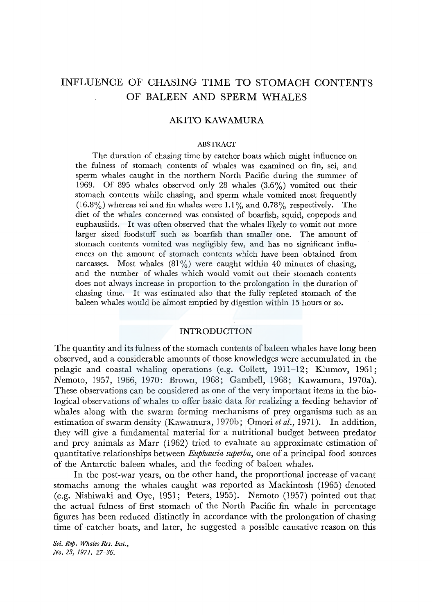# INFLUENCE OF CHASING TIME TO STOMACH CONTENTS OF BALEEN AND SPERM WHALES

### AKITO KAWAMURA

### ABSTRACT

The duration of chasing time by catcher boats which might influence on the fulness of stomach contents of whales was examined on fin, sei, and sperm whales caught in the northern North Pacific during the summer of 1969. Of 895 whales observed only 28 whales (3.6%) vomited out their stomach contents while chasing, and sperm whale vomited most frequently  $(16.8\%)$  whereas sei and fin whales were 1.1% and 0.78% respectively. The diet of the whales concerned was consisted of boarfish, squid, copepods and euphausiids. It was often observed that the whales likely to vomit out more larger sized foodstuff such as boarfish than smaller one. The amount of stomach contents vomited was negligibly few, and has no significant influences on the amount of stomach contents which have been obtained from carcasses. Most whales  $(81\%)$  were caught within 40 minutes of chasing, and the number of whales which would vomit out their stomach contents does not always increase in proportion to the prolongation in the duration of chasing time. It was estimated also that the fully repleted stomach of the baleen whales would be almost emptied by digestion within 15 hours or so.

### INTRODUCTION

The quantity and its fulness of the stomach contents of baleen whales have long been observed, and a considerable amounts of those knowledges were accumulated in the pelagic and coastal whaling operations (e.g. Collett, 1911-12; Klumov, 1961; Nemoto, 1957, 1966, 1970: Brown, 1968; Gambell, 1968; Kawamura, 1970a). These observations can be considered as one of the very important items in the biological observations of whales to offer basic data for realizing a feeding behavior of whales along with the swarm forming mechanisms of prey organisms such as an estimation of swarm density (Kawamura, 1970b; Omori *et al.*, 1971). In addition, they will give a fundamental material for a nutritional budget between predator and prey animals as Marr (1962) tried to evaluate an approximate estimation of quantitative relationships between *Euphausia superba,* one of a principal food sources of the Antarctic baleen whales, and the feeding of baleen whales.

In the post-war years, on the other hand, the proportional increase of vacant stomachs among the whales caught was reported as Mackintosh (1965) denoted (e.g. Nishiwaki and Oye, 1951; Peters, 1955). Nemoto (1957) pointed out that the actual fulness of first stomach of the North Pacific fin whale in percentage figures has been reduced distinctly in accordance with the prolongation of chasing time of catcher boats, and later, he suggested a possible causative reason on this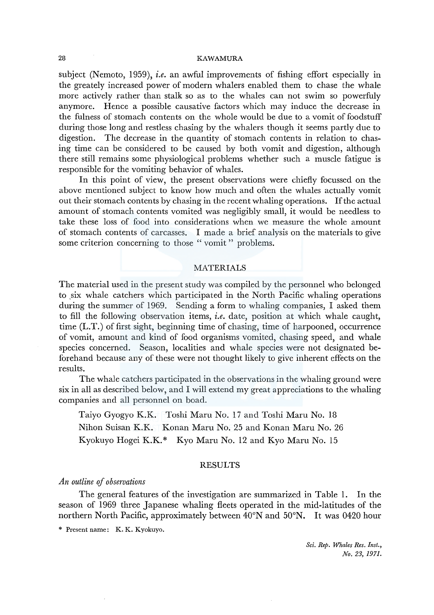### 28 KAWAMURA

subject (Nemoto, 1959), *i.e.* an awful improvements of fishing effort especially in the greately increased power of modern whalers enabled them to chase the whale more actively rather than stalk so as to the whales can not swim so powerfuly anymore. Hence a possible causative factors which may induce the decrease in the fulness of stomach contents on the whole would be due to a vomit of foodstuff during those long and restless chasing by the whalers though it seems partly due to digestion. The decrease in the quantity of stomach contents in relation to chasing time can be considered to be caused by both vomit and digestion, although there still remains some physiological problems whether such a muscle fatigue is responsible for the vomiting behavior of whales.

In this point of view, the present observations were chiefly focussed on the above mentioned subject to know how much and often the whales actually vomit out their stomach contents by chasing in the recent whaling operations. If the actual amount of stomach contents vomited was negligibly small, it would be needless to take these loss of food into considerations when we measure the whole amount of stomach contents of carcasses. I made a brief analysis on the materials to give some criterion concerning to those " vomit " problems.

### MATERIALS

The material used in the present study was compiled by the personnel who belonged to six whale catchers which participated in the North Pacific whaling operations during the summer of 1969. Sending a form to whaling companies, I asked them to fill the following observation items, *i.e.* date, position at which whale caught, time (L.T.) of first sight, beginning time of chasing, time of harpooned, occurrence of vomit, amount and kind of food organisms vomited, chasing speed, and whale species concerned. Season, localities and whale species were not designated beforehand because any of these were not thought likely to give inherent effects on the results.

The whale catchers participated in the observations in the whaling ground were six in all as described below, and I will extend my great appreciations to the whaling companies and all personnel on boad.

Taiyo Gyogyo K.K. Toshi Mam No. 17 and Toshi Maru No. 18 Nihon Suisan K.K. Konan Maru No. 25 and Konan Maru No. 26 Kyokuyo Hogei K.K.\* Kyo Maru No. 12 and Kyo Maru No. 15

### RESULTS

### *An outline* ef *observations*

The general features of the investigation are summarized in Table I. In the season of 1969 three Japanese whaling fleets operated in the mid-latitudes of the northern North Pacific, approximately between 40°N and 50°N. It was 0420 hour

\* Present name: K. K. Kyokuyo.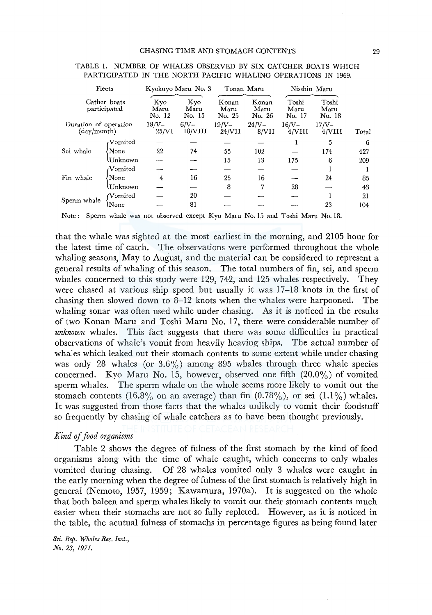| Fleets<br>Cather boats<br>participated<br>Duration of operation<br>(day/month) |                                                                            | Kyokuyo Maru No. 3    |                       |                         | Tonan Maru              |                         | Nisshin Maru                                  |       |
|--------------------------------------------------------------------------------|----------------------------------------------------------------------------|-----------------------|-----------------------|-------------------------|-------------------------|-------------------------|-----------------------------------------------|-------|
|                                                                                |                                                                            | Kyo<br>Maru<br>No. 12 | Kyo<br>Maru<br>No. 15 | Konan<br>Maru<br>No. 25 | Konan<br>Maru<br>No. 26 | Toshi<br>Maru<br>No. 17 | Toshi<br>Maru<br>No. 18<br>$17/V -$<br>4/VIII | Total |
|                                                                                |                                                                            | 18/V-<br>25/VI        | $6/N-$<br>18/VIII     | $19/V -$<br>24/VII      | $24/V -$<br>8/VII       | $16/V -$<br>4/VIII      |                                               |       |
|                                                                                | Vomited <sup>.</sup>                                                       |                       |                       |                         |                         |                         | 5                                             | 6     |
| Sei whale                                                                      | None                                                                       | 22                    | 74                    | 55                      | 102                     |                         | 174                                           | 427   |
|                                                                                | <b>Unknown</b>                                                             |                       |                       | 15                      | 13                      | 175                     | 6                                             | 209   |
|                                                                                | Vomited،                                                                   |                       |                       |                         |                         |                         |                                               |       |
| Fin whale                                                                      | None                                                                       | 4                     | 16                    | 25                      | 16                      |                         | 24                                            | 85    |
|                                                                                | Unknown                                                                    |                       |                       | 8                       | 7                       | 28                      |                                               | 43    |
| Sperm whale                                                                    | Nomited)                                                                   |                       | 20                    |                         |                         |                         |                                               | 21    |
|                                                                                | $\sf{lNone}$                                                               |                       | 81                    |                         |                         |                         | 23                                            | 104   |
| Note:                                                                          | Sperm whale was not observed except Kyo Maru No. 15 and Toshi Maru No. 18. |                       |                       |                         |                         |                         |                                               |       |

### TABLE I. NUMBER OF WHALES OBSERVED BY SIX CATCHER BOATS WHICH PARTICIPATED IN THE NORTH PACIFIC WHALING OPERATIONS IN 1969.

that the whale was sighted at the most earliest in the morning, and 2105 hour for the latest time of catch. The observations were performed throughout the whole whaling seasons, May to August, and the material can be considered to represent a general results of whaling of this season. The total numbers of fin, sei, and sperm whales concerned to this study were 129, 742, and 125 whales respectively. They were chased at various ship speed but usually it was 17-18 knots in the first of chasing then slowed down to 8-12 knots when the whales were harpooned. The whaling sonar was often used while under chasing. As it is noticed in the results of two Konan Maru and Toshi Maru No. 17, there were considerable number of *unknown* whales. This fact suggests that there was some difficulties in practical observations of whale's vomit from heavily heaving ships. The actual number of whales which leaked out their stomach contents to some extent while under chasing was only 28 whales (or  $3.6\%$ ) among 895 whales through three whale species concerned. Kyo Maru No. 15, however, observed one fifth  $(20.0\%)$  of vomited sperm whales. The sperm whale on the whole seems more likely to vomit out the stomach contents (16.8% on an average) than fin  $(0.78\%)$ , or sei  $(1.1\%)$  whales. It was suggested from those facts that the whales unlikely to vomit their foodstuff so frequently by chasing of whale catchers as to have been thought previously.

# *Kind* of *food organisms*

Table 2 shows the degree of fulness of the first stomach by the kind of food organisms along with the time of whale caught, which concerns to only whales vomited during chasing. Of 28 whales vomited only 3 whales were caught in the early morning when the degree of fulness of the first stomach is relatively high in general (Nemoto, 1957, 1959; Kawamura, 1970a). It is suggested on the whole that both baleen and sperm whales likely to vomit out their stomach contents much easier when their stomachs are not so fully repleted. However, as it is noticed in the table, the acutual fulness of stomachs in percentage figures as being found later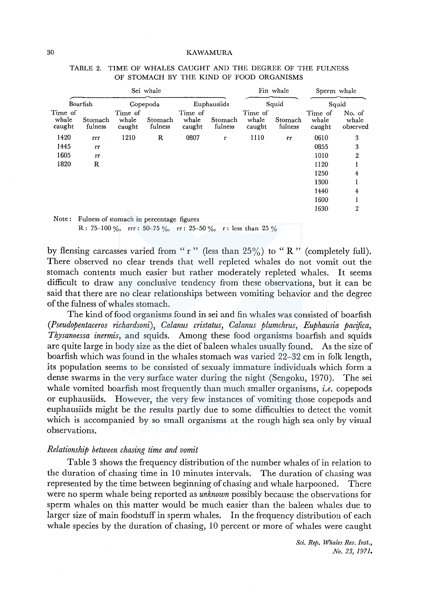|                            | Sei whale            |                            |                    |                            |                    |                            | Fin whale          |                            | Sperm whale                 |  |
|----------------------------|----------------------|----------------------------|--------------------|----------------------------|--------------------|----------------------------|--------------------|----------------------------|-----------------------------|--|
|                            | Boarfish<br>Copepoda |                            |                    | Euphausiids                |                    | Squid                      |                    | Squid                      |                             |  |
| Time of<br>whale<br>caught | Stomach<br>fulness   | Time of<br>whale<br>caught | Stomach<br>fulness | Time of<br>whale<br>caught | Stomach<br>fulness | Time of<br>whale<br>caught | Stomach<br>fulness | Time of<br>whale<br>caught | No. of<br>whale<br>observed |  |
| 1420                       | rrr                  | 1210                       | R                  | 0807                       | r                  | 1110                       | rr                 | 0610                       | 3                           |  |
| 1445                       | rr                   |                            |                    |                            |                    |                            |                    | 0855                       | 3                           |  |
| 1605                       | rr                   |                            |                    |                            |                    |                            |                    | 1010                       | 2                           |  |
| 1820                       | R                    |                            |                    |                            |                    |                            |                    | 1120                       |                             |  |
|                            |                      |                            |                    |                            |                    |                            |                    | 1250                       | 4                           |  |
|                            |                      |                            |                    |                            |                    |                            |                    | 1300                       |                             |  |
|                            |                      |                            |                    |                            |                    |                            |                    | 1440                       | 4                           |  |
|                            |                      |                            |                    |                            |                    |                            |                    | 1600                       |                             |  |
|                            |                      |                            |                    |                            |                    |                            |                    | 1630                       | $\mathbf{2}$                |  |

TABLE 2. TIME OF WHALES CAUGHT AND THE DEGREE OF THE FULNESS OF STOMACH BY THE KIND OF FOOD ORGANISMS

Fulness of stomach in percentage figures R: 75-100 %, rrr: 50-75 %, rr: 25-50 %, r: less than 25 %

by flensing carcasses varied from "r" (less than  $25\%$ ) to "R" (completely full). There observed no clear trends that well repleted whales do not vomit out the stomach contents much easier but rather moderately repleted whales. It seems difficult to draw any conclusive tendency from these observations, but it can be said that there are no clear relationships between vomiting behavior and the degree of the fulness of whales stomach.

The kind of food organisms found in sei and fin whales was consisted of boarfish *(Pseudopentaceros richardsoni), Calanus cristatus, Calanus plumchrus, Euphausia pacijica, Thysanoessa inermis,* and squids. Among these food organisms boarfish and squids are quite large in body size as the diet of baleen whales usually found. As the size of boarfish which was found in the whales stomach was varied 22-32 cm in folk length, its population seems to be consisted of sexualy immature individuals which form a dense swarms in the very surface water during the night (Sengoku, 1970). The sei whale vomited boarfish most frequently than much smaller organisms, *i.e.* copepods or euphausiids. However, the very few instances of vomiting those copepods and euphausiids might be the results partly due to some difficulties to detect the vomit which is accompanied by so small organisms at the rough high sea only by visual observations.

# *Relationship between chasing time and vomit*

Table 3 shows the frequency distribution of the number whales of in relation to the duration of chasing time in 10 minutes intervals. The duration of chasing was represented by the time between beginning of chasing and whale harpooned. There were no sperm whale being reported as *unknown* possibly because the observations for sperm whales on this matter would be much easier than the baleen whales due to larger size of main foodstuff in sperm whales. In the frequency distribution of each whale species by the duration of chasing, 10 percent or more of whales were caught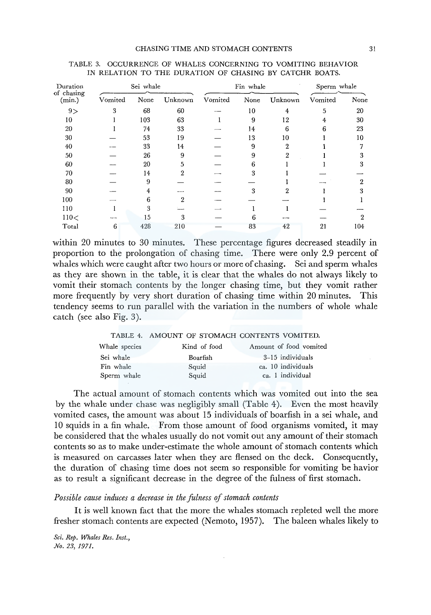| Duration<br>of chasing | Sei whale |      |         | Fin whale |      |         | Sperm whale |      |
|------------------------|-----------|------|---------|-----------|------|---------|-------------|------|
| (min.)                 | Vomited   | None | Unknown | Vomited   | None | Unknown | Vomited     | None |
| 9>                     | 3         | 68   | 60      |           | 10   | 4       | 5           | 20   |
| 10                     |           | 103  | 63      |           | 9    | 12      | 4           | 30   |
| 20                     |           | 74   | 33      |           | 14   | 6       |             | 23   |
| 30                     |           | 53   | 19      |           | 13   | 10      |             | 10   |
| 40                     |           | 33   | 14      |           | 9    |         |             |      |
| 50                     |           | 26   | 9       |           | 9    |         |             | 3    |
| 60                     |           | 20   | 5       |           | 6    |         |             | 3    |
| 70                     |           | 14   | 2       |           | 3    |         |             |      |
| 80                     |           | 9    |         |           |      |         |             | 9    |
| 90                     |           |      |         |           | 3    |         |             | z    |
| 100                    |           | 6    | 9       |           |      |         |             |      |
| 110                    |           | 3    |         |           |      |         |             |      |
| 110<                   |           | 15   | 3       |           |      |         |             | 2    |
| Total                  | 6         | 428  | 210     |           | 83   | 42      | 21          | 104  |

| TABLE 3. OCCURRENCE OF WHALES CONCERNING TO VOMITING BEHAVIOR |  |  |  |
|---------------------------------------------------------------|--|--|--|
| IN RELATION TO THE DURATION OF CHASING BY CATCHR BOATS.       |  |  |  |

within 20 minutes to 30 minutes. These percentage figures decreased steadily in proportion to the prolongation of chasing time. There were only 2.9 percent of whales which were caught after two hours or more of chasing. Sei and sperm whales as they are shown in the table, it is clear that the whales do not always likely to vomit their stomach contents by the longer chasing time, but they vomit rather more frequently by very short duration of chasing time within 20 minutes. This tendency seems to run parallel with the variation in the numbers of whole whale catch (see also Fig. 3).

|               | TABLE 4. AMOUNT OF STOMACH CONTENTS VOMITED. |                        |
|---------------|----------------------------------------------|------------------------|
| Whale species | Kind of food                                 | Amount of food vomited |
| Sei whale     | Boarfish                                     | 3-15 individuals       |
| Fin whale     | Squid                                        | ca. 10 individuals     |
| Sperm whale   | Squid                                        | ca. 1 individual       |

The actual amount of stomach contents which was vomited out into the sea by the whale under chase was negligibly small (Table 4). Even the most heavily vomited cases, the amount was about 15 individuals of boarfish in a sei whale, and 10 squids in a fin whale. From those amount of food organisms vomited, it may be considered that the whales usually do not vomit out any amount of their stomach contents so as to make under-estimate the whole amount of stomach contents which is measured on carcasses later when they are flensed on the deck. Consequently, the duration of chasing time does not seem so responsible for vomiting be havior as to result a significant decrease in the degree of the fulness of first stomach.

### *Possible cause induces a decrease in the fulness* of *stomach contents*

It is well known fact that the more the whales stomach repleted well the more fresher stomach contents are expected (Nemoto, 1957). The baleen whales likely to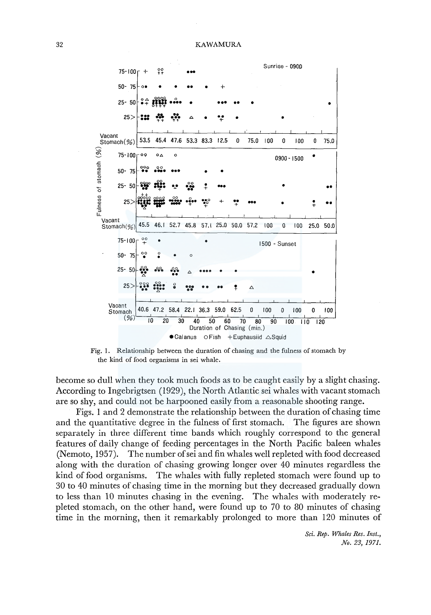

Fig. 1. Relationship between the duration of chasing and the fulness of stomach by the kind of food organisms in sei whale.

become so dull when they took much foods as to be caught easily by a slight chasing. According to Ingebrigtsen (1929), the North Atlantic sei whales with vacant stomach are so shy, and could not be harpooned easily from a reasonable shooting range.

Figs. 1 and 2 demonstrate the relationship between the duration of chasing time and the quantitative degree in the fulness of first stomach. The figures are shown separately in three different time bands which roughly correspond to the general features of daily change of feeding percentages in the North Pacific baleen whales (Nemoto, 1957). The number ofsei and fin whales well repleted with food decreased along with the duration of chasing growing longer over 40 minutes regardless the kind of food organisms. The whales with fully repleted stomach were found up to 30 to 40 minutes of chasing time in the morning but they decreased gradually down to less than 10 minutes chasing in the evening. The whales with moderately repleted stomach, on the other hand, were found up to 70 to 80 minutes of chasing time in the morning, then it remarkably prolonged to more than 120 minutes of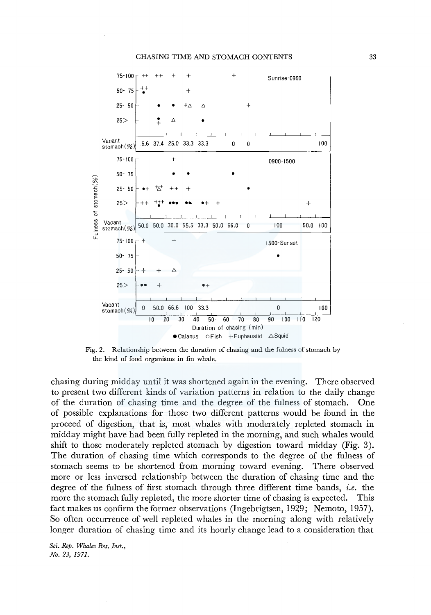#### CHASING TIME AND STOMACH CONTENTS



Fig. 2. Relationship between the duration of chasing and the fulness of stomach by the kind of food organisms in fin whale.

chasing during midday until it was shortened again in the evening. There observed to present two different kinds of variation patterns in relation to the daily change of the duration of chasing time and the degree of the fulness of stomach. One of possible explanations for those two different patterns would be found in the proceed of digestion, that is, most whales with moderately repleted stomach in midday might have had been fully repleted in the morning, and such whales would shift to those moderately repleted stomach by digestion toward midday (Fig. 3). The duration of chasing time which corresponds to the degree of the fulness of stomach seems to be shortened from morning toward evening. There observed more or less inversed relationship between the duration of chasing time and the degree of the fulness of first stomach through three different time bands, *i.e.* the more the stomach fully repleted, the more shorter time of chasing is expected. This fact makes us confirm the former observations (Ingebrigtsen, 1929; Nemoto, 1957). So often occurrence of well repleted whales in the morning along with relatively longer duration of chasing time and its hourly change lead to a consideration that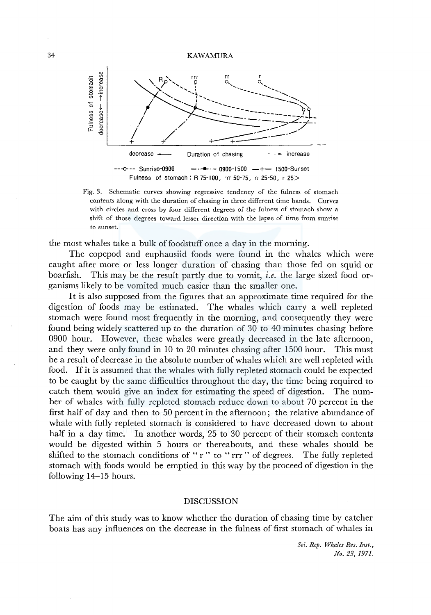#### 34 KAWAMURA



Fig. 3. Schematic curves showing regressive tendency of the fulness of stomach contents along with the duration of chasing in three different time bands. Curves with circles and cross by four different degrees of the fulness of stomach show a shift of those degrees toward lesser direction with the lapse of time from sunrise to sunset.

the most whales take a bulk of foodstuff once a day in the morning.

The copepod and euphausiid foods were found in the whales which were caught after more or less longer duration of chasing than those fed on squid or boarfish. This may be the result partly due to vomit, *i.e.* the large sized food organisms likely to be vomited much easier than the smaller one.

It is also supposed from the figures that an approximate time required for the digestion of foods may be estimated. The whales which carry a well repleted stomach were found most frequently in the morning, and consequently they were found being widely scattered up to the duration of 30 to 40 minutes chasing before 0900 hour. However, these whales were greatly decreased in the late afternoon, and they were only found in 10 to 20 minutes chasing after 1500 hour. This must be a result of decrease in the absolute number of whales which are well repleted with food. If it is assumed that the whales with fully repleted stomach could be expected to be caught by the same difficulties throughout the day, the time being required to catch them would give an index for estimating the speed of digestion. The number of whales with fully repleted stomach reduce down to about 70 percent in the first half of day and then to 50 percent in the afternoon; the relative abundance of whale with fully repleted stomach is considered to have decreased down to about half in a day time. In another words, 25 to 30 percent of their stomach contents would be digested within 5 hours or thereabouts, and these whales should be shifted to the stomach conditions of "r" to "rrr" of degrees. The fully repleted stomach with foods would be emptied in this way by the proceed of digestion in the following 14-15 hours.

### DISCUSSION

The aim of this study was to know whether the duration of chasing time by catcher boats has any influences on the decrease in the fulness of first stomach of whales in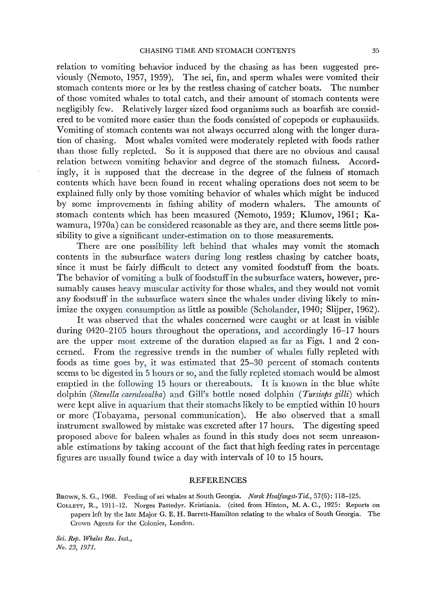relation to vomiting behavior induced by the chasing as has been suggested previously (Nemoto, 1957, 1959). The sei, fin, and sperm whales were vomited their stomach contents more or les by the restless chasing of catcher boats. The number of those vomited whales to total catch, and their amount of stomach contents were negligibly few. Relatively larger sized food organisms such as boarfish are considered to be vomited more easier than the foods consisted of copepods or euphausiids. Vomiting of stomach contents was not always occurred along with the longer duration of chasing. Most whales vomited were moderately repleted with foods rather than those fully repleted. So it is supposed that there are no obvious and causal relation between vomiting behavior and degree of the stomach fulness. Accordingly, it is supposed that the decrease in the degree of the fulness of stomach contents which have been found in recent whaling operations does not seem to be explained fully only by those vomiting behavior of whales which might be induced by some improvements in fishing ability of modern whalers. The amounts of stomach contents which has been measured (Nemoto, 1959; Klumov, 1961; Kawamura, 1970a) can be considered reasonable as they are, and there seems little possibility to give a significant under-estimation on to those measurements.

There are one possibility left behind that whales may vomit the stomach contents in the subsurface waters during long restless chasing by catcher boats, since it must be fairly difficult to detect any vomited foodstuff from the boats. The behavior of vomiting a bulk of foodstuff in the subsurface waters, however, presumably causes heavy muscular activity for those whales, and they would not vomit any foodstuff in the subsurface waters since the whales under diving likely to minimize the oxygen consumption as little as possible (Scholander, 1940; Slijper, 1962).

It was observed that the whales concerned were caught or at least in visible during 0420-2105 hours throughout the operations, and accordingly 16-17 hours are the upper most extreme of the duration elapsed as far as Figs. 1 and 2 concerned. From the regressive trends in the number of whales fully repleted with foods as time goes by, it was estimated that 25-30 percent of stomach contents seems to be digested in 5 hours or so, and the fully repleted stomach would be almost emptied in the following 15 hours or thereabouts. It is known in the blue white dolphin *(Stenella caeruleoalba)* and Gill's bottle nosed dolphin *(Tursiops gilli)* which were kept alive in aquarium that their stomachs likely to be emptied within 10 hours or more (Tobayama, personal communication). He also observed that a small instrument swallowed by mistake was excreted after 17 hours. The digesting speed proposed above for baleen whales as found in this study does not seem unreasonable estimations by taking account of the fact that high feeding rates in percentage figures are usually found twice a day with intervals of 10 to 15 hours.

#### REFERENCES

BROWN, S. G., 1968. Feeding of sei whales at South Georgia. Norsk Hvalfangst-Tid., 57(6): 118-125.

COLLETT, R., 1911-12. Norges Pattedyr. Kristiania. (cited from Hinton, M.A. C., 1925: Reports on papers left by the late Major G. E. H. Barrett-Hamilton relating to the whales of South Georgia. The Crown Agents for the Colonies, London.